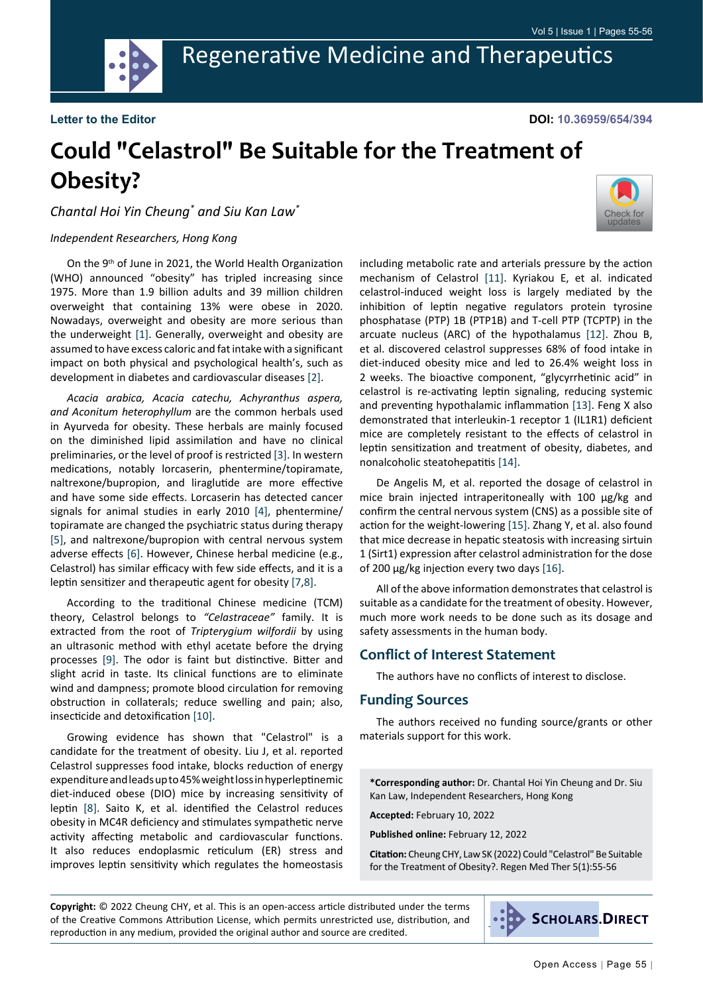

**DOI: 10.36959/654/394**

# **Could "Celastrol" Be Suitable for the Treatment of Obesity?**

*Chantal Hoi Yin Cheung\* and Siu Kan Law\**

#### *Independent Researchers, Hong Kong*

On the 9th of June in 2021, the World Health Organization (WHO) announced "obesity" has tripled increasing since 1975. More than 1.9 billion adults and 39 million children overweight that containing 13% were obese in 2020. Nowadays, overweight and obesity are more serious than the underweight [[1\]](#page-1-0). Generally, overweight and obesity are assumed to have excess caloric and fat intake with a significant impact on both physical and psychological health's, such as development in diabetes and cardiovascular diseases [[2\]](#page-1-1).

*Acacia arabica, Acacia catechu, Achyranthus aspera, and Aconitum heterophyllum* are the common herbals used in Ayurveda for obesity. These herbals are mainly focused on the diminished lipid assimilation and have no clinical preliminaries, or the level of proof is restricted [\[3](#page-1-2)]. In western medications, notably lorcaserin, phentermine/topiramate, naltrexone/bupropion, and liraglutide are more effective and have some side effects. Lorcaserin has detected cancer signals for animal studies in early 2010 [[4\]](#page-1-3), phentermine/ topiramate are changed the psychiatric status during therapy [[5\]](#page-1-4), and naltrexone/bupropion with central nervous system adverse effects [[6\]](#page-1-5). However, Chinese herbal medicine (e.g., Celastrol) has similar efficacy with few side effects, and it is a leptin sensitizer and therapeutic agent for obesity [[7](#page-1-6),[8\]](#page-1-7).

According to the traditional Chinese medicine (TCM) theory, Celastrol belongs to *"Celastraceae"* family. It is extracted from the root of *Tripterygium wilfordii* by using an ultrasonic method with ethyl acetate before the drying processes [[9\]](#page-1-8). The odor is faint but distinctive. Bitter and slight acrid in taste. Its clinical functions are to eliminate wind and dampness; promote blood circulation for removing obstruction in collaterals; reduce swelling and pain; also, insecticide and detoxification [[10\]](#page-1-9).

Growing evidence has shown that "Celastrol" is a candidate for the treatment of obesity. Liu J, et al. reported Celastrol suppresses food intake, blocks reduction of energy expenditure and leads up to 45% weight loss in hyperleptinemic diet-induced obese (DIO) mice by increasing sensitivity of leptin [[8\]](#page-1-7). Saito K, et al. identified the Celastrol reduces obesity in MC4R deficiency and stimulates sympathetic nerve activity affecting metabolic and cardiovascular functions. It also reduces endoplasmic reticulum (ER) stress and improves leptin sensitivity which regulates the homeostasis



including metabolic rate and arterials pressure by the action mechanism of Celastrol [[11\]](#page-1-10). Kyriakou E, et al. indicated celastrol-induced weight loss is largely mediated by the inhibition of leptin negative regulators protein tyrosine phosphatase (PTP) 1B (PTP1B) and T-cell PTP (TCPTP) in the arcuate nucleus (ARC) of the hypothalamus [[12\]](#page-1-11). Zhou B, et al. discovered celastrol suppresses 68% of food intake in diet-induced obesity mice and led to 26.4% weight loss in 2 weeks. The bioactive component, "glycyrrhetinic acid" in celastrol is re-activating leptin signaling, reducing systemic and preventing hypothalamic inflammation [[13\]](#page-1-12). Feng X also demonstrated that interleukin-1 receptor 1 (IL1R1) deficient mice are completely resistant to the effects of celastrol in leptin sensitization and treatment of obesity, diabetes, and nonalcoholic steatohepatitis [\[14](#page-1-13)].

De Angelis M, et al. reported the dosage of celastrol in mice brain injected intraperitoneally with 100 μg/kg and confirm the central nervous system (CNS) as a possible site of action for the weight-lowering [\[15\]](#page-1-14). Zhang Y, et al. also found that mice decrease in hepatic steatosis with increasing sirtuin 1 (Sirt1) expression after celastrol administration for the dose of 200 μg/kg injection every two days [\[16\]](#page-1-15).

All of the above information demonstrates that celastrol is suitable as a candidate for the treatment of obesity. However, much more work needs to be done such as its dosage and safety assessments in the human body.

## **Conflict of Interest Statement**

The authors have no conflicts of interest to disclose.

#### **Funding Sources**

The authors received no funding source/grants or other materials support for this work.

**\*Corresponding author:** Dr. Chantal Hoi Yin Cheung and Dr. Siu Kan Law, Independent Researchers, Hong Kong

**Accepted:** February 10, 2022

**Published online:** February 12, 2022

**Citation:** Cheung CHY, Law SK (2022) Could "Celastrol" Be Suitable for the Treatment of Obesity?. Regen Med Ther 5(1):55-56

**Copyright:** © 2022 Cheung CHY, et al. This is an open-access article distributed under the terms of the Creative Commons Attribution License, which permits unrestricted use, distribution, and reproduction in any medium, provided the original author and source are credited.